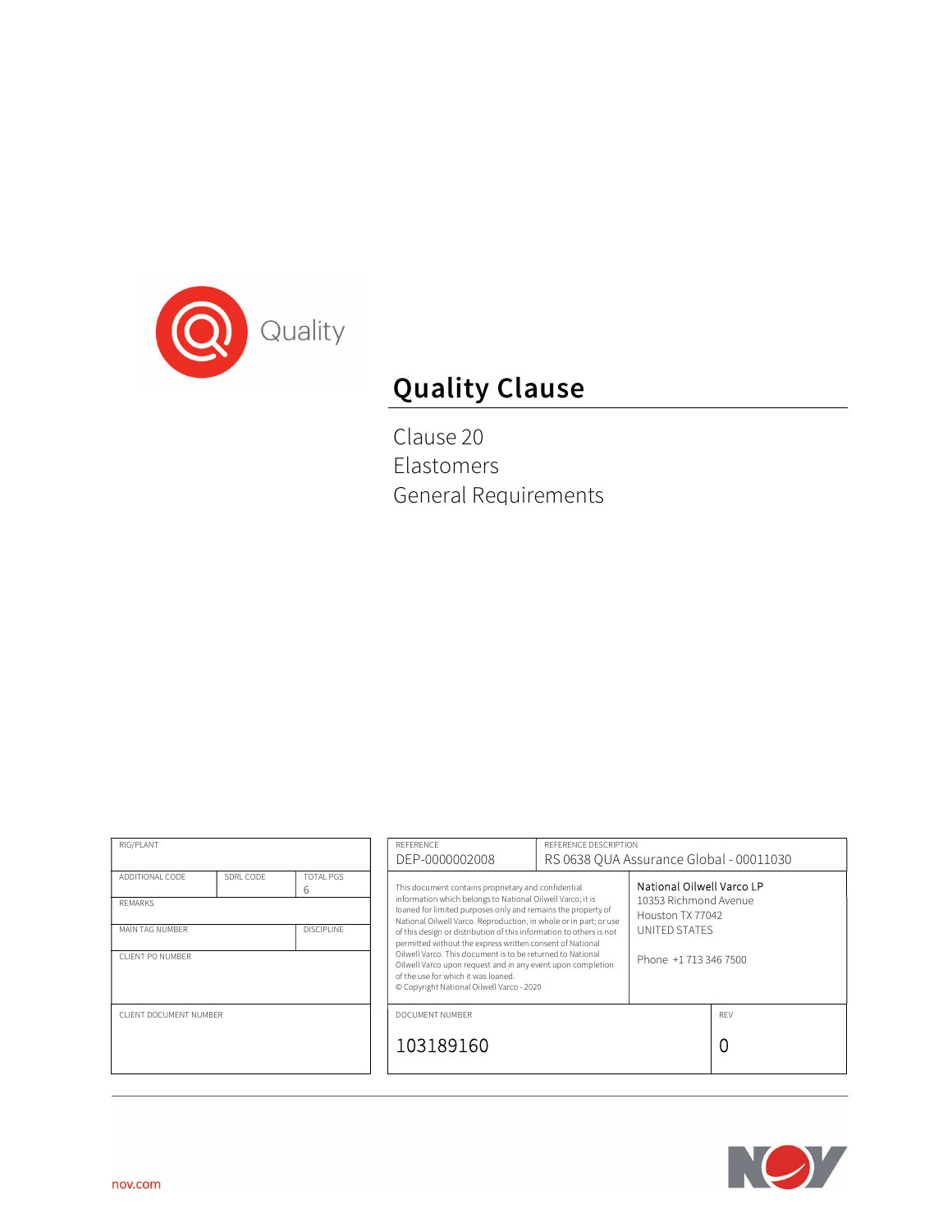

# Quality Clause

Clause 20 Elastomers General Requirements

| RIG/PLANT                                                |           | REFERENCE<br>REFERENCE DESCRIPTION<br>RS 0638 OUA Assurance Global - 00011030<br>DEP-0000002008                                                                                                                                                                                                                                                   |                                                                                                                                                                                                                                                                                                                                  |                                        |          |  |
|----------------------------------------------------------|-----------|---------------------------------------------------------------------------------------------------------------------------------------------------------------------------------------------------------------------------------------------------------------------------------------------------------------------------------------------------|----------------------------------------------------------------------------------------------------------------------------------------------------------------------------------------------------------------------------------------------------------------------------------------------------------------------------------|----------------------------------------|----------|--|
| ADDITIONAL CODE<br><b>REMARKS</b>                        | SDRL CODE | TOTAL PGS<br>6                                                                                                                                                                                                                                                                                                                                    | National Oilwell Varco LP<br>This document contains proprietary and confidential<br>information which belongs to National Oilwell Varco; it is<br>10353 Richmond Avenue<br>loaned for limited purposes only and remains the property of<br>Houston TX 77042<br>National Oilwell Varco. Reproduction, in whole or in part; or use |                                        |          |  |
| <b>DISCIPLINE</b><br>MAIN TAG NUMBER<br>CLIENT PO NUMBER |           | of this design or distribution of this information to others is not<br>permitted without the express written consent of National<br>Oilwell Varco. This document is to be returned to National<br>Oilwell Varco upon request and in any event upon completion<br>of the use for which it was loaned.<br>© Copyright National Oilwell Varco - 2020 |                                                                                                                                                                                                                                                                                                                                  | UNITED STATES<br>Phone +1 713 346 7500 |          |  |
| CLIENT DOCUMENT NUMBER                                   |           | DOCUMENT NUMBER<br>103189160                                                                                                                                                                                                                                                                                                                      |                                                                                                                                                                                                                                                                                                                                  |                                        | REV<br>0 |  |
|                                                          |           |                                                                                                                                                                                                                                                                                                                                                   |                                                                                                                                                                                                                                                                                                                                  |                                        |          |  |

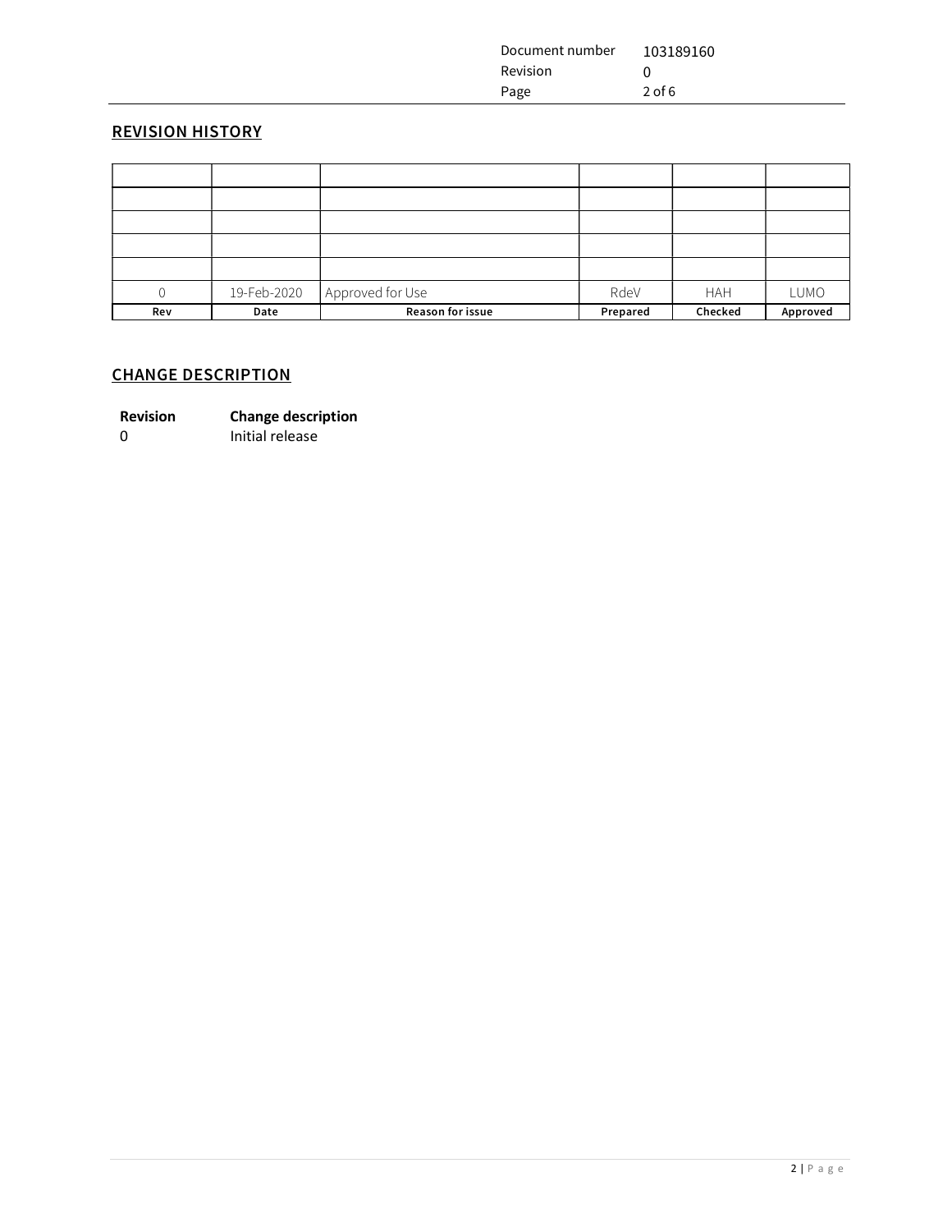| Document number | 103189160 |
|-----------------|-----------|
| <b>Revision</b> |           |
| Page            | $2$ of 6  |

### REVISION HISTORY

| 0   | 19-Feb-2020 | Approved for Use | RdeV     | <b>HAH</b> | LUMO     |
|-----|-------------|------------------|----------|------------|----------|
| Rev | Date        | Reason for issue | Prepared | Checked    | Approved |

## CHANGE DESCRIPTION

0 Initial release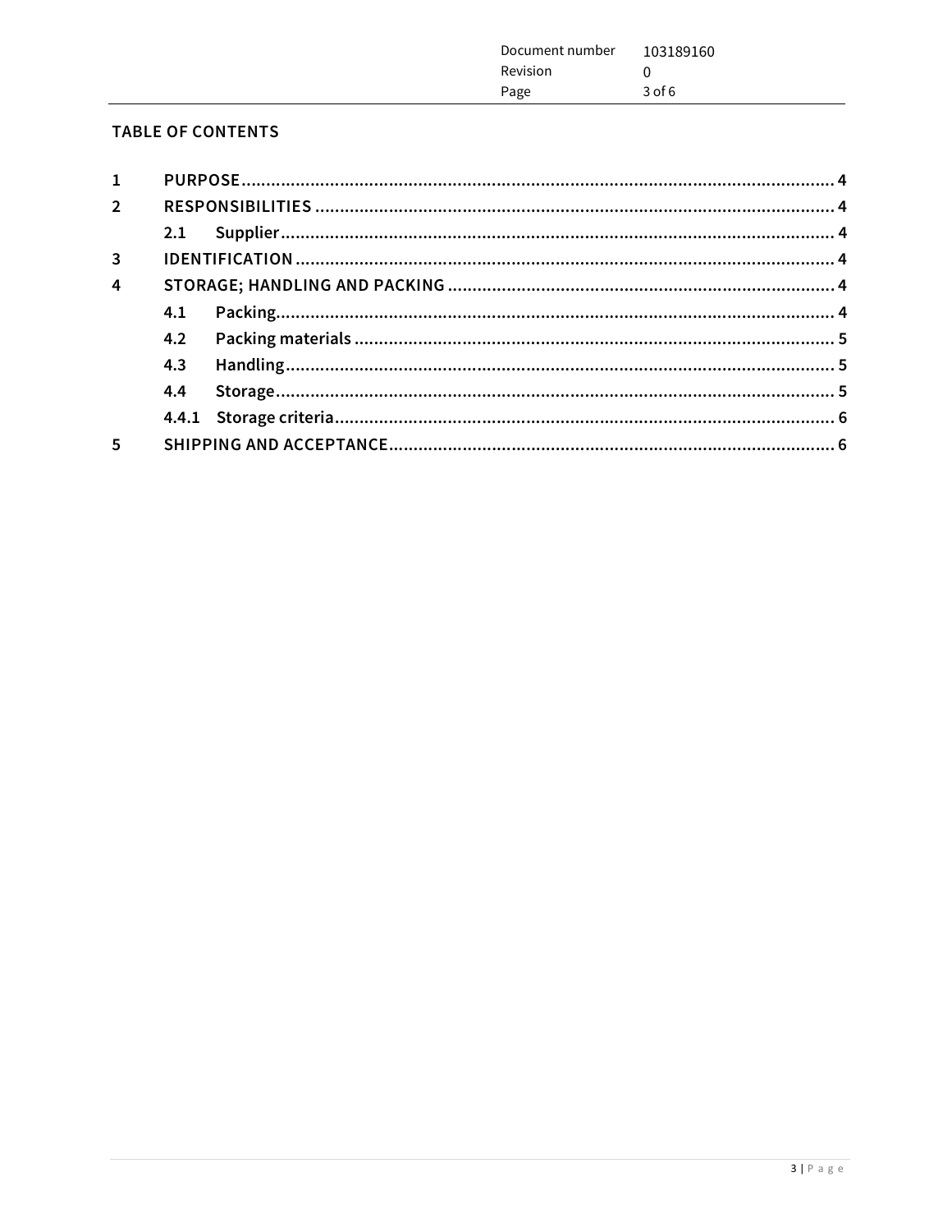| Document number<br>Revision | 103189160 |
|-----------------------------|-----------|
| Page                        | $3$ of 6  |
|                             |           |

# TABLE OF CONTENTS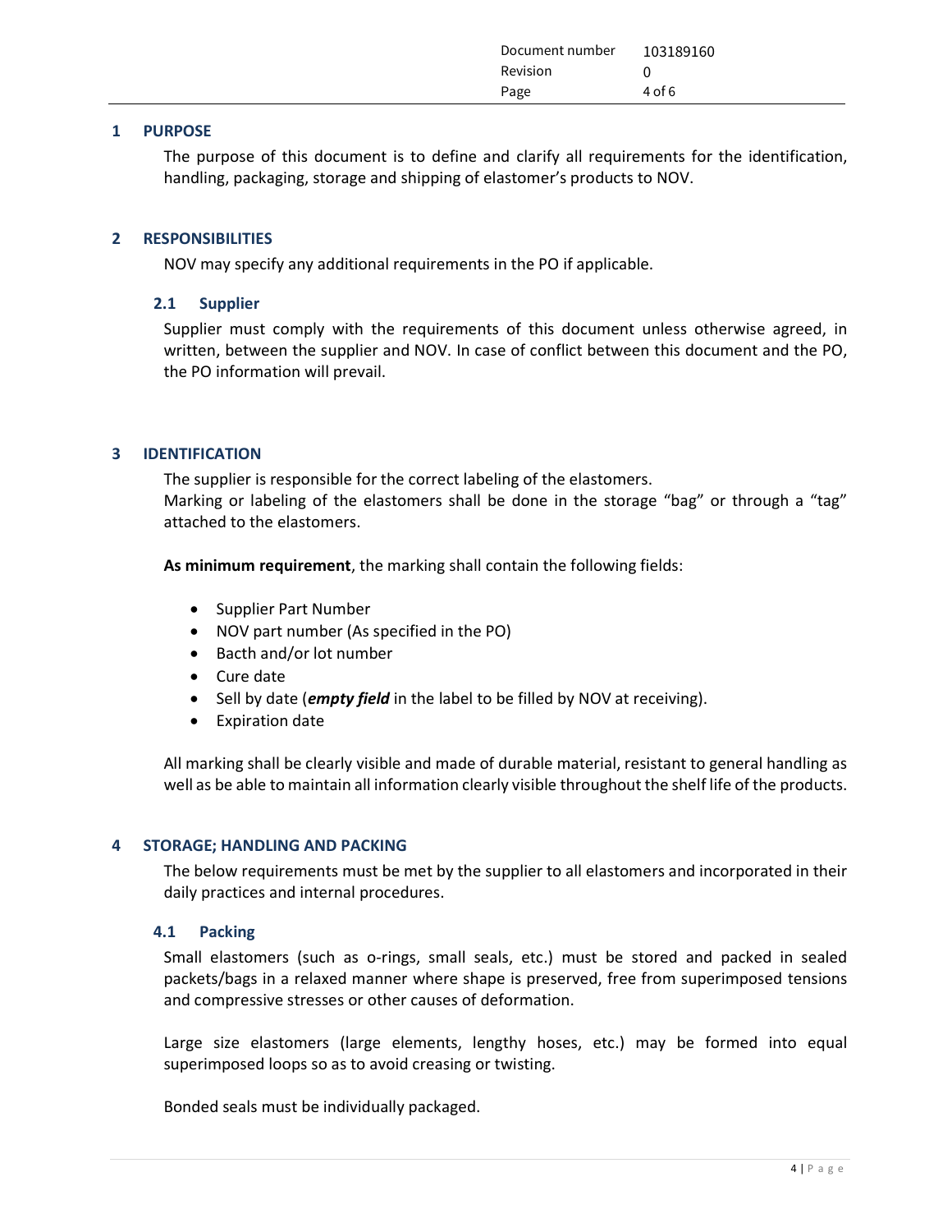| Document number | 103189160 |
|-----------------|-----------|
| Revision        |           |
| Page            | $4$ of 6  |

#### 1 PURPOSE

The purpose of this document is to define and clarify all requirements for the identification, handling, packaging, storage and shipping of elastomer's products to NOV.

#### 2 RESPONSIBILITIES

NOV may specify any additional requirements in the PO if applicable.

#### 2.1 Supplier

Supplier must comply with the requirements of this document unless otherwise agreed, in written, between the supplier and NOV. In case of conflict between this document and the PO, the PO information will prevail.

#### 3 IDENTIFICATION

The supplier is responsible for the correct labeling of the elastomers. Marking or labeling of the elastomers shall be done in the storage "bag" or through a "tag" attached to the elastomers.

As minimum requirement, the marking shall contain the following fields:

- Supplier Part Number
- NOV part number (As specified in the PO)
- Bacth and/or lot number
- Cure date
- $\bullet$  Sell by date (*empty field* in the label to be filled by NOV at receiving).
- Expiration date

All marking shall be clearly visible and made of durable material, resistant to general handling as well as be able to maintain all information clearly visible throughout the shelf life of the products.

#### 4 STORAGE; HANDLING AND PACKING

The below requirements must be met by the supplier to all elastomers and incorporated in their daily practices and internal procedures.

#### 4.1 Packing

Small elastomers (such as o-rings, small seals, etc.) must be stored and packed in sealed packets/bags in a relaxed manner where shape is preserved, free from superimposed tensions and compressive stresses or other causes of deformation.

Large size elastomers (large elements, lengthy hoses, etc.) may be formed into equal superimposed loops so as to avoid creasing or twisting.

Bonded seals must be individually packaged.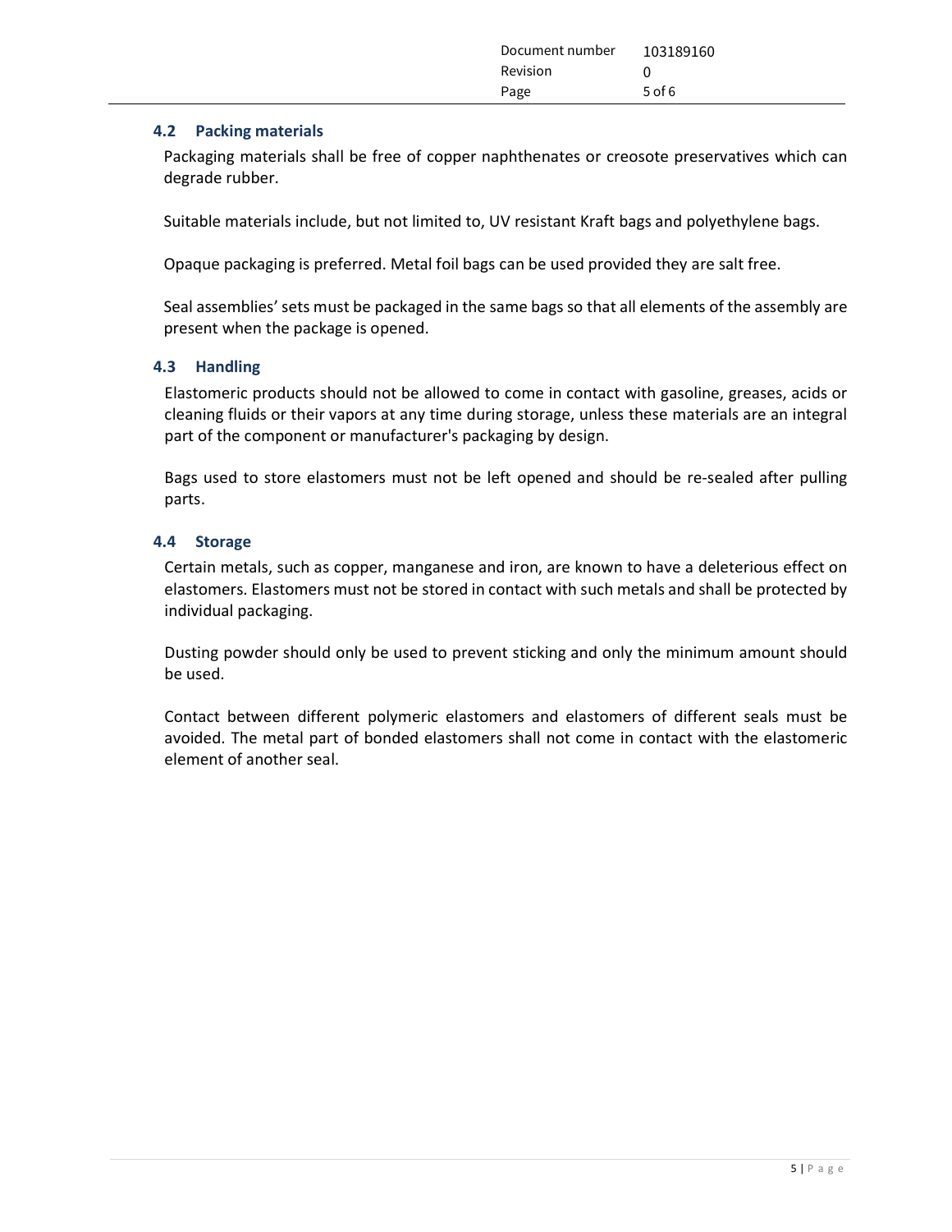| Document number 103189160 |          |
|---------------------------|----------|
| Revision                  |          |
| Page                      | $5$ of 6 |

#### 4.2 Packing materials

Packaging materials shall be free of copper naphthenates or creosote preservatives which can degrade rubber.

Suitable materials include, but not limited to, UV resistant Kraft bags and polyethylene bags.

Opaque packaging is preferred. Metal foil bags can be used provided they are salt free.

Seal assemblies' sets must be packaged in the same bags so that all elements of the assembly are present when the package is opened.

#### 4.3 Handling

Elastomeric products should not be allowed to come in contact with gasoline, greases, acids or cleaning fluids or their vapors at any time during storage, unless these materials are an integral part of the component or manufacturer's packaging by design.

Bags used to store elastomers must not be left opened and should be re-sealed after pulling parts.

#### 4.4 Storage

Certain metals, such as copper, manganese and iron, are known to have a deleterious effect on elastomers. Elastomers must not be stored in contact with such metals and shall be protected by individual packaging.

Dusting powder should only be used to prevent sticking and only the minimum amount should be used.

Contact between different polymeric elastomers and elastomers of different seals must be avoided. The metal part of bonded elastomers shall not come in contact with the elastomeric element of another seal.